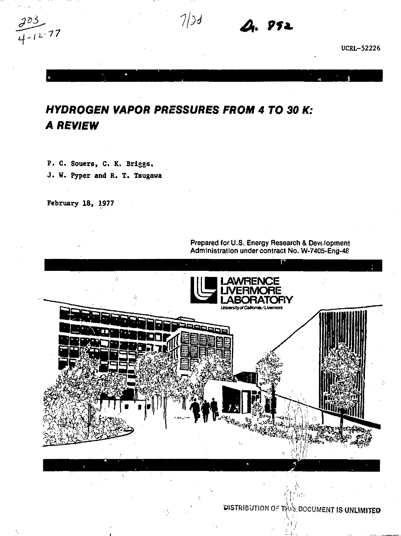$\frac{1}{12}.77$ 

 $7/3d$ 

**752** 

**UCRL-52226** 

# *HYDROGEN VAPOR PRESSURES FROM 4 TO 30 K: A REVIEW*

**P. C. Souers, C. K. Briggs. J. W. Pyper and R. T. Taugawa** 

**February 18, 1977** 

Prepared for U.S. Energy Research & Development Administration under contract No. W-7405-Eng-4P



DISTRIBUTION OF THIS DOCUMENT IS UNLIMITED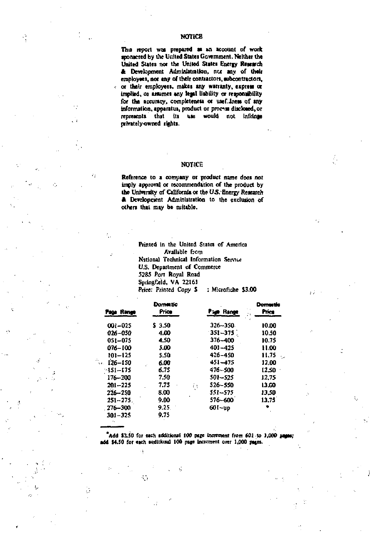**This report wot prepared as »n account of work spomcred by the United Stttei Government. Neither the**  United States nor the United States Energy Research **ft Development Administration, nu any of their employwt, not any of their contractors, subcontractors, or thetr employed, makei any warranty, express or implied, oi anumei any** *itp\* **liability of responsibility**  for the accuracy, completeness or usef. Inem of any **information, apparatui, product or process disclosed, or represents that iti use would not Infrlngs privately-owned rights.** 

#### **NOTICE**

**Reference to i company or product name does** *not*  **imply approval or recommendation of the product by**  the University of California or the U.S. Energy Research **ft Dewlopnent Administration to the exclusion of others thai may be suitable.** 

> **Printed in the United States of America Available f:om National Teclinical Information Semw US. Department of Commerce 5285 Port Royal Road**  Springfield, VA 22161 **Price: Printed Copy \$ ; Microfiche \$3.00**

| Page Range                      | Domestic<br>Price | <b>Pige Range</b> | Domestra<br>Price |
|---------------------------------|-------------------|-------------------|-------------------|
| $001 - 025$                     | \$ 3.50           | $326 - 350$       | 10.00             |
| 026-050                         | 4.00              | $351 - 375$       | 10.50             |
| 051-075                         | 4.50              | $376 - 400$       | 10.75             |
| 076-100                         | 5.00              | $401 - 425$       | 11.00             |
| 101-125                         | 5.50              | 426-450           | 11.75             |
| 126-150<br>$\ddot{\phantom{a}}$ | 6.00              | $451 - 475$       | 12.00             |
| -151–175                        | 6.75              | 476~500           | 12.50             |
| 176-200                         | 7.50              | 501-525           | 12.75             |
| $201 - 225$                     | 7.75              | 526~550<br>ξŧ     | 13.00             |
| 226-250                         | 8.00              | 551-575           | 13.50             |
| $251 - 275$                     | 9.00              | 576-600           | 13.75             |
| 276-300                         | 9.25.             | $601 - up$        |                   |
| 301-325                         | 9.75              |                   |                   |
|                                 |                   |                   |                   |

\*Add \$2.50 foi esch tdditfoiial 100 pifie increment *(torn 601* -to 1,000 *ftgm;*  add \$4.50 for each soditional 100 page increment over 1,000 pages.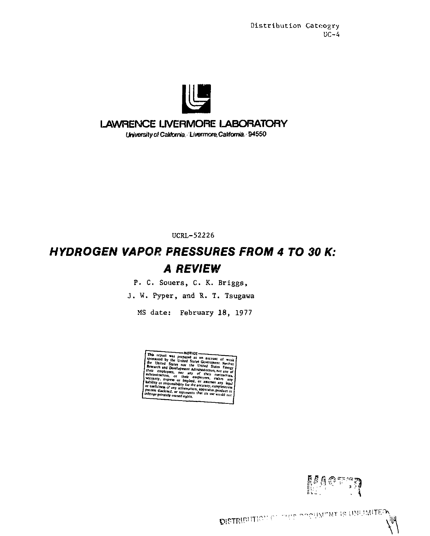

# **LAWRENCE LIVERMORE LABORATORY**

University of California. Livermore, California, 94550

UCRL-52226

# *HYDROGEN VAPOR PRESSURES FROM 4 TO 30 K: A REVIEW*

P. C. Souers, C. K. Briggs,

J. W. Pyper, and R. T. Tsugawa

MS date: February 18, 1977

- NOTICE This report was proposed as an account of work<br>sponsored by the United States Covernment. Neither<br>the United States nor the United States Covernment. Neither<br>Research and Development Administration, nor any of<br>their emphas ly, express anj  $01.38$ her any tea ir or res <sup>97</sup> Fesponsibility for the<br><sup>he</sup>m of any informatio<br>isclosed, or emissions ity for the accuracy, comple Tuefulness of any information, apparatus, providens disclosed, or represents that its use with the control of the control of the control of the control of the control of the control of the control of the control of the con

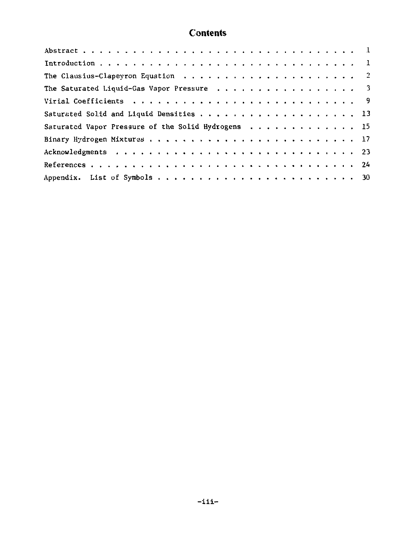# **Contents**

| The Saturated Liquid-Gas Vapor Pressure 3          |
|----------------------------------------------------|
|                                                    |
|                                                    |
| Saturated Vapor Pressure of the Solid Hydrogens 15 |
|                                                    |
|                                                    |
|                                                    |
|                                                    |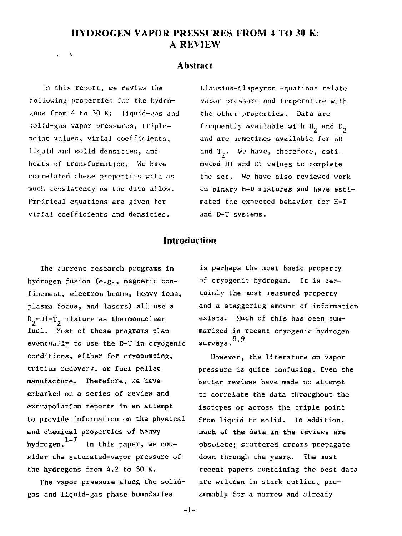# **HYDROGEN VAPOR PRESSIRES FROM 4 TO 30 K: A REVIEW**

#### **Abstract**

In this report, we review the following properties for the hydrogens from 4 to 30 K: liquid-gas and solid-gns vapor pressures, triplepoint values, virial coefficients, liquid and solid densities, and heats of transformation. We have correlated these properties with as much consistency as the data allow. Empirical equations are given for virial coefficients and densities.

 $\rightarrow$ 

Clausius-Clapeyron equations relate vapor pressure and temperature with the other properties. Data are frequently available with H<sub>2</sub> and D<sub>2</sub> and are semetimes available for HD and  $T_0$ . We have, therefore, estimated HT and DT values to complete the set. We have also reviewed work on binary H-D mixtures and have estimated the expected behavior for H-T and D-T systems.

#### **Introduction**

The current research programs in hydrogen fusion (e.g., magnetic confinement, electron beams, heavy ions, plasma focus, and lasers) all use a  $D_2$ -DT-T<sub>2</sub> mixture as thermonuclear fuel. Most of these programs plan eventually to use the D-T in cryogenic conditions, either for cryopumping, tritium recovery, or fuel pellet manufacture. Therefore, we have embarked on a series of review and extrapolation reports in an attempt to provide information on the physical and chemical properties of heavy hydrogen.  $1-7$  In this paper, we consider the saturated-vapor pressure of the hydrogens from 4.2 to 30 K.

The vapor pressure along the solidgas and liquid-gas phase boundaries

is perhaps the most basic property of cryogenic hydrogen. It is certainly the most measured property and a staggering amount of information exists. Much of this has been summarized in recent cryogenic hydrogen surveys.<sup>8,9</sup>

However, the literature on vapor pressure is quite confusing. Even the better reviews have made no attempt to correlate the data throughout the isotopes or across the triple point from liquid tc solid. In addition, much of the data in the reviews are obsolete; scattered errors propagate down through the years. The most recent papers containing the best data are written in stark outline, presumably for a narrow and already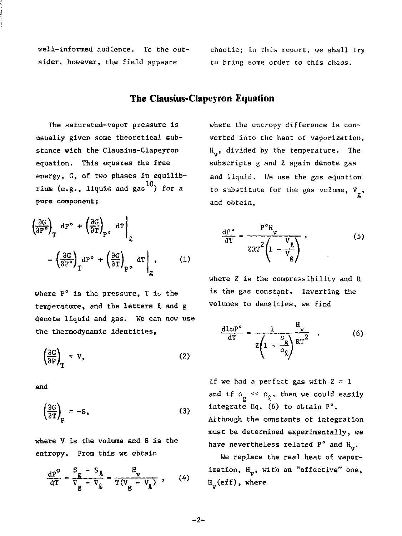well-informed audience. To the outsider, however, the field appears

chaotic; In this report, we shall try to bring some order to this chaos.

## **The Clausius-Clapcjron Equation**

The saturated-vapor pressure is usually given some theoretical substance with the Clausius-Clapeyron equation. This equaces the free energy, G, of two phases in equilibrium (e.g., liquid and gas  $^{10}$ ) for a pure component;

$$
\left(\frac{\partial G}{\partial P^o}\right)_T dP^o + \left(\frac{\partial G}{\partial T}\right)_{P^o} dT\Big|_{g}
$$

$$
= \left(\frac{\partial G}{\partial P^o}\right)_T dP^o + \left(\frac{\partial G}{\partial T}\right)_{P^o} dT\Big|_{g}, \qquad (1)
$$

where  $P^{\circ}$  is the pressure. T is the temperature, and the letters *I* and g denote liquid and gas. We can now use the thermodynamic identities,

$$
\left(\frac{\partial G}{\partial P}\right)_T = V,\tag{2}
$$

and

$$
\left(\frac{\partial G}{\partial T}\right)_P = -S,\tag{3}
$$

where V is the volume and S is the entropy. From this we obtain

$$
\frac{\mathrm{d}P^{\circ}}{\mathrm{d}T} = \frac{S_g - S_{\bar{L}}}{V_g - V_{\bar{L}}} = \frac{H_v}{T(V_g - V_{\bar{L}})}, \qquad (4)
$$

where the entropy difference is converted into the heat of vaporization, H., divided by the temperature. The subscripts g and *i* again denote gas and liquid. We use the gas equation to substitute for the gas volume,  $V_a$ , and obtain,

$$
\frac{\mathrm{d}P^{\circ}}{\mathrm{d}T} = \frac{P^{\circ}H_{\mathbf{y}}}{2RT^2 \left(1 - \frac{V_{\circ}}{V_{\mathbf{g}}}\right)}\,,\tag{5}
$$

where Z is the compressibility and R is the gas constant. Inverting the volumes to densities, we find

$$
\frac{\text{d1nP}^{\circ}}{\text{d}T} = \frac{1}{z \left(1 - \frac{\rho_g}{\rho_g}\right)} \frac{H_y}{RT^2} \quad . \tag{6}
$$

If we had a perfect gas with  $Z = 1$ and if  $\rho_g \ll \rho_g$ , then we could easily integrate Eq. (6) to obtain P°. Although the constants of integration must be determined experimentally, we have nevertheless related  $P^{\circ}$  and  $H_{\bullet}$ .

We replace the real heat of vaporization,  $H_v$ , with an "effective" one,  $H_V$ (eff), where

-2-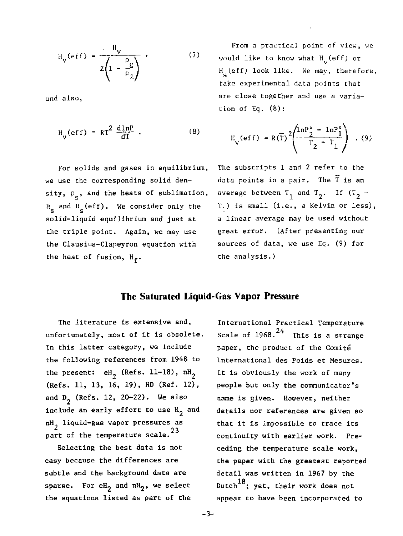$$
H_{v}(\text{eff}) = \frac{H_{v}}{z \left(1 - \frac{\rho_{g}}{\rho_{g}}\right)}
$$
 (7)

and also,

$$
H_V(eff) = RT^2 \frac{dlnP}{dT} \t\t(8)
$$

For solids and gases in equilibrium, we use the corresponding solid density,  $\rho_a$ , and the heats of sublimation,  $H_{\bf g}$  and  $H_{\bf g}$ (eff). We consider only the solid-liquid equilibrium and just at the triple point. Again, we may use the Clausius-Clapeyron equation with the heat of fusion,  $H_{\epsilon}$ .

From a practical point of view, we would like to know what  $H_V(eff)$  or H<sub>s</sub>(eff) look like. We may, therefore, take experimental data points that are close together and use a variation of Eq. (8);

$$
H_{V}(eff) = R(\overline{T})^{2} \left( \frac{\ln P_{2}^{o} - \ln P_{1}^{o}}{T_{2} - T_{1}} \right) . (9)
$$

The subscripts 1 and 2 refer to the data points in a pair. The T is an average between  $T_1$  and  $T_2$ . If  $(T_2 -$ T.) is small (i.e., a Kelvin or less), a linear average may be used without great error. (After presenting our sources of data, we use Eq. (9) for the analysis.)

### **The Saturated Liquid-Gas Vapor Pressure**

The literature is extensive and, unfortunately, most of it is obsolete. In this latter category, we include the following references from 1948 to the present:  $eH_2$  (Refs. 11-18),  $nH_2$ (Refs. 11, 13, 16, 19), HD (Ref. 12), and  $D_2$  (Refs. 12, 20-22). We also include an early effort to use  $H_2$  and  $nH_2$  liquid-gas vapor pressures as  $\frac{2}{3}$  part of the temperature scale. $\frac{23}{3}$ 

Selecting the best data is not easy because the differences are subtle and the background data are sparse. For  $eH_2$  and  $nH_2$ , we select the equations listed as part of the

International Practical Temperature Scale of  $1968$ .<sup>24</sup> This is a strange paper, the product of the Comité International des Poids et Mesures. It is obviously the work of many people but only the communicator's name is given. However, neither details nor references are given so that it is impossible to trace its continuity with earlier work. Preceding the temperature scale work, the paper with the greatest reported detail was written in 1967 by the Dutch $^{18}\!;$  yet, their work does not appear to have been incorporated to

-3-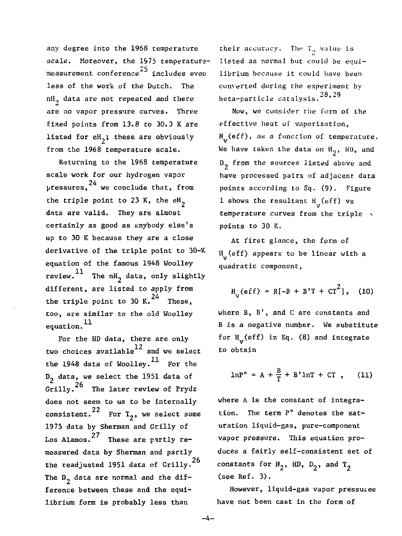any degree into the 1968 temperature scale. Moreover, the 1975 temperaturemeasurement conference<sup>25</sup> includes even less of the work of the Dutch. The  $nH_2$  data are not repeated and there are no vapor pressure curves. Three fixed points from 13.8 to 30.3 K are listed for  $eH_2$ ; these are obviously from the 1968 temperature scale.

Returning to the 1968 temperature scale work for our hydrogen vapor  $\nu$ ressures, $^{24}$  we conclude that, from the triple point to 23 K, the  $eH_2$ data are valid. They are almost certainly as good as enybody else's up to 30 K because they are a close derivative of the triple point to 30-K equation of the famous 1948 Woolley review.<sup>11</sup> The nH<sub>2</sub> data, only slightly different, are listed to apply from the triple point to 30 K. $^{24}$  These, too, are similar to the old Woolley equation.<sup>11</sup>

For the HD data, there are only two choices available $^{12}$  and we select the 1948 data of Woolley.<sup>11</sup> For the  $D_2$  data, we select the 1951 data of  $G$ rilly.<sup>26</sup> The later review of Prydz does not seem to us to be internally consistent.<sup>22</sup> For  $T_2$ , we select some 1975 data by Sherman and Grilly of Los Alamos.<sup>27</sup> These are partly remeasured data by Sherman and partly the readingted  $1051$  data of Crilly  $26$ the readjusted 1951 data of Grilly  $\frac{1}{2}$  data are normal and the direction ference between these and the equilibrium form is probably less than

their accuracy. The  $T_2$  value is listed as normal but could be equilibrium because it could have been converted during the experiment by beta-particle catalysis.  $28, 29$ 

Now, we consider the form of the effective heat of vaporization, H<sub>1</sub>(eff), as a function of temperature. We have taken the data on  $H_2$ ,  $HD$ , and D<sub>2</sub> from the sources listed above and have processed pairs of adjacent data points according to Eq. (9). Figure  $1$  shows the resultant  $\frac{H}{V}$ (eff) vs temperature curves from the triple  $\cdot$ points to 30 K.

At first glance, the form of H (eff) appears to be linear with a quadratic component,

$$
H_{v}(eff) = R[-B + B'T + CT^{2}], (10)
$$

where B, B', and C are constants and B is a negative number. We substitute for  $H_{12}(eff)$  in Eq. (8) and integrate to obtain

$$
\ln P^{\circ} = A + \frac{B}{T} + B' \ln T + CT , \qquad (11)
$$

where A is the constant of integration. The term P° denotes the saturation liquid-gas, pure-component vapor pressure. This equation produces a fairly self-consistent set of constants for  $H_2$ , HD,  $D_2$ , and T<sub>2</sub> (see Ref. 3).

However, liquid-gas vapor pressures have not been cast in the form of

 $-4-$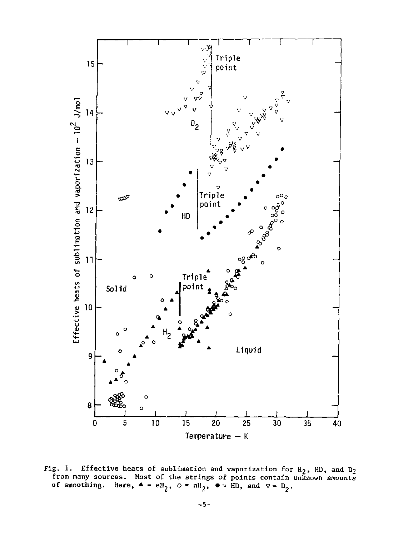

Fig. 1. Effective heats of sublimation and vaporization for  $H_2$ , HD, and D<sub>2</sub> from many sources. Most of the strings of points contain unknown amounts<br>of smoothing. Here,  $\blacktriangle = eH_2$ ,  $\varnothing = nH_2$ ,  $\blacktriangleright$  = HD, and  $\nabla = D_2$ .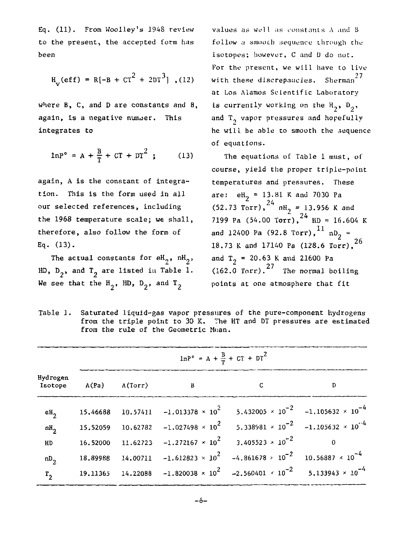Eq. (11). From Woolley's 1948 review to the present, the accepted form has been

$$
H_v
$$
(eff) = R[-B + CT<sup>2</sup> + 2DT<sup>3</sup>] , (12)

where B, C, and D are constants and B, again, is a negative number. This integrates to

$$
1nP^{\circ} = A + \frac{B}{T} + CT + DT^{2} ; \qquad (13)
$$

again, A is the constant of integration. This is the form used in all our selected references, including the 1968 temperature scale; we shall, therefore, also follow the form of Eq. (13).

The actual constants for  $eH_{\gamma}$ ,  $nH_{\gamma}$ , HD,  $D_2$ , and  $T_2$  are listed in Table 1. We see that the  $H_2$ , HD,  $D_2$ , and T<sub>2</sub>

values as well as constants A ami B follow a smooth sequence through the isotopes; however, C and D do not. For the present, we will have to live with these discrepancies. Sherman $^{27}$ at Los Alamos Scientific Laboratory is currently working on the  $H_2$ ,  $D_3$ , and  $T_2$  vapor pressures and hopefully he will be able to smooth the sequence of equations.

The equations of Table 1 must, of course, yield the proper triple-point temperatures and pressures. These are:  $eH_2 = 13.81$  K and 7030 Pa (52.73 Torr),  $^{24}$  nH<sub>2</sub> = 13.956 K and 7199 Pa (54.00 Torr), HD = 16.604 K and 12400 Pa (92.8 Torr),  $^{11}$  nD<sub>2</sub> = 18.73 K and 17140 Pa (128.6  $\frac{1}{26}$ ),  $\frac{26}{100}$ and  $T_2$  = 20.63 K and 21600 Pa  $(162.0 \text{ Torr})$ .<sup>27</sup> The normal boiling points at one atmosphere that fit

| Table 1. Saturated liquid-gas vapor pressures of the pure-component hydrogens |
|-------------------------------------------------------------------------------|
| from the triple point to 30 K. The HT and DT pressures are estimated          |
| from the rule of the Geometric Mean.                                          |

|                 | $1nP^{\circ} = A + \frac{B}{T} + CT + DT^{2}$ |  |                                                                                         |                                                                                                                             |          |  |
|-----------------|-----------------------------------------------|--|-----------------------------------------------------------------------------------------|-----------------------------------------------------------------------------------------------------------------------------|----------|--|
| Hydrogen        | Isotope A(Pa) A(Torr)                         |  | в                                                                                       | с                                                                                                                           | D        |  |
| $eH_{2}$        | 15,46688                                      |  |                                                                                         | 10.57411 -1.013378 $\times$ 10 <sup>2</sup> 5.432005 $\times$ 10 <sup>-2</sup> -1.105632 $\times$ 10 <sup>-4</sup>          |          |  |
| nH <sub>2</sub> |                                               |  |                                                                                         | 15.52059 10.62782 -1.027498 $\times$ 10 <sup>2</sup> 5.338981 $\times$ 10 <sup>-2</sup> -1.105632 $\times$ 10 <sup>-4</sup> |          |  |
| HD              |                                               |  | 16.52000 11.62723 -1.272167 $\times$ 10 <sup>2</sup> 3.405523 $\times$ 10 <sup>-2</sup> |                                                                                                                             | $\Omega$ |  |
| $nD_{2}$        | 18.89988                                      |  |                                                                                         | 14.00711 -1.612823 $\times$ 10 <sup>2</sup> -4.861678 $\times$ 10 <sup>-2</sup> 10.56887 $\times$ 10 <sup>-4</sup>          |          |  |
| $r_{2}$         |                                               |  |                                                                                         | 19.11365 14.22088 -1.820038 $\times$ 10 <sup>2</sup> -2.560401 $\times$ 10 <sup>-2</sup> 5.133943 $\times$ 10 <sup>-4</sup> |          |  |

$$
-\mathbf{0}-
$$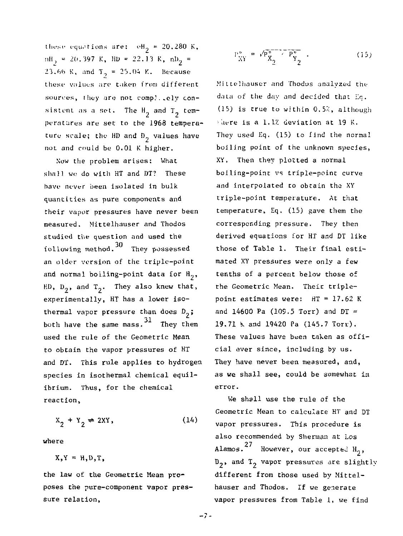these equations are:  $eH_2 = 20.280$  K,  $m_1 = 20.397 K$ ,  $m = 22.13 K$ ,  $m_2 =$ 23.66 K, and  $T_2 = 25.04$  K. Because these values arc taken from different sources, they are not complicely consistent as a set. The  $H_2$  and  $T_2$  temperatures are set to the 1968 temperature scale; the HD and  $D_n$  values have not and could be 0.01 K higher.

Now the problem arises: What shall we do with HT and DT? These have never been isolated in bulk quantities as pure components and their vapor pressures have never been measured. Mittelhauser and Thodos studied the question and used the 30 following method. They possessed an older version of the triple-point and normal boiling-point data for  $H_2$ , HD,  $D_2$ , and  $T_2$ . They also knew that, experimentally, HT has a lower isothermal vapor pressure than does  $D_2$ ; both have the same mass.<sup>31</sup> They then used the rule of the Geometric Mean to obtain the vapor pressures of HT and DT. This rule applies to hydrogen species in isothermal chemical equilibrium. Thus, for the chemical reaction,

 $X_2 + Y_2 \rightleftharpoons 2XY,$ (14)

where

 $X,Y = H,D,T$ ,

the law of the Geometric Mean proposes the purs-component vapor pressure relation,

$$
P_{XY}^{\circ} = r' \overline{P_{X_2}^{\circ}} - P_{Y_2}^{\circ} \tag{15}
$$

Mittelhouscr and Thodos analyzed the data of the day and decided that Eq. (15) is true to within 0.52, although  $\frac{1}{2}$  are is a 1.1% deviation at 19 K. They used Eq, (15) to find the normal boiling point of the unknown species, XY. Then they plotted a normal boiling-point vs triple-point curve and interpolated to obtain the XY triple-point temperature. At that temperature, Eq. (15) gave them the corresponding pressure. They then derived equations for HT and DT like those of Table 1. Their final estimated XY pressures were only a few tenths of a percent below those of the Geometric Mean. Their triplepoint estimates were: HT = 17.62 K and 14600 Pa (109.5 Torr) and  $DT =$ 19.71 K and 19420 Pa (145.7 Torr). These values have been taken as official ever since, including by us. They have never been measured, and, as we shall see, could be somewhat in error.

We shall use the rule of the Geometric Mean to calculate HT and DT vapor pressures. This procedure is also recommended by Sherman at Los Alamos. $27$  However, our accepted H<sub>3</sub>,  $D_2$ , and  $T_2$  vapor pressures are slightly different from those used by Mittelhauser and Thodos. If we generate vapor pressures from Table 1, we find

 $-7-$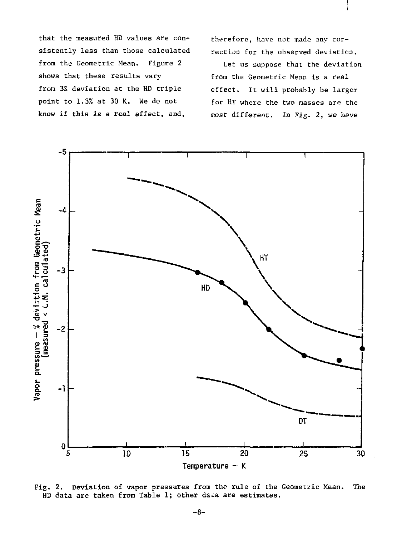that the measured HD values are consistently less than those calculated from the Geometric Mean. Figure 2 shows that these results vary from 3% deviation at the HD triple point to 1.3% at 30 K. We do not know if this is *a* real effect, and,

therefore, have not made any correction for the observed deviation.

Let us suppose that the deviation from the Geometric Mean is a real effect. It will probably be larger for HT where the two masses are the most different. In Fig. 2, *we* have



Fig. 2. Deviation of vapor pressures from the rule of the Geometric Mean. HD data are taken from Table 1; other daca are estimates. The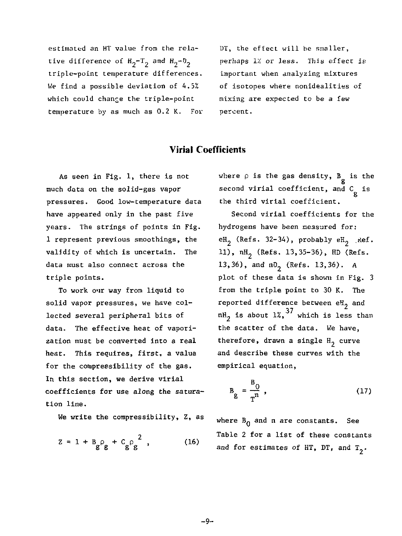estimated an HT value from the relative difference of  $H_2-T_2$  and  $H_2-D_2$ triple-point temperature differences. We find a possible deviation of 4.5% which could change the triple-point temperature by as much as 0.2 K. For DT, the effect will be smaller, perhaps IX or less. This effect is important when analyzing mixtures of isotopes where nonidealities of mixing are expected to be a few percent.

### **Virial Coefficients**

As seen in Fig. 1, there is not much data on the solid-gas vapor pressures. Good low-temperature data have appeared only in the past five years. The strings of points in Fig. 1 represent previous smoothings, the validity of which is uncertain. The data must also connect across the triple points.

To work our way from liquid to solid vapor pressures, we have collected several peripheral bits of data. The effective heat of vaporization must be converted into a real heat. This requires, first, a value for the compressibility of the gas. In this section, we derive virial coefficients for use along the saturation line.

We write the compressibility, Z, as

$$
Z = 1 + B_{g} \rho_{g} + C_{g} \rho_{g}^{2} , \qquad (16)
$$

where  $\rho$  is the gas density,  $B_{\sigma}$  is the second virial coefficient, and C is 8 the third virial coefficient.

Second virial coefficients for the hydrogens have been neasured for: eH<sub>2</sub> (Refs. 32-34), probably  $eH<sub>2</sub>$  .Kef. 11),  $nH_2$  (Refs. 13,35-36), HD (Refs. 13,36), and n0, (Refs. 13,36). A plot of these data is shown in Fig. 3 from the triple point to 30 K. The reported difference between  $e^{H}_{2}$  and <sup>37</sup> which is les the scatter of the data. We have, therefore, drawn a single  $H_2$  curve and describe these curves with the empirical equation,

$$
B_g = \frac{B_0}{T^n} \t{17}
$$

where  $B_0$  and n are constants. See Table 2 for a list of these constants and for estimates of HT, DT, and  $T_2$ .

-9-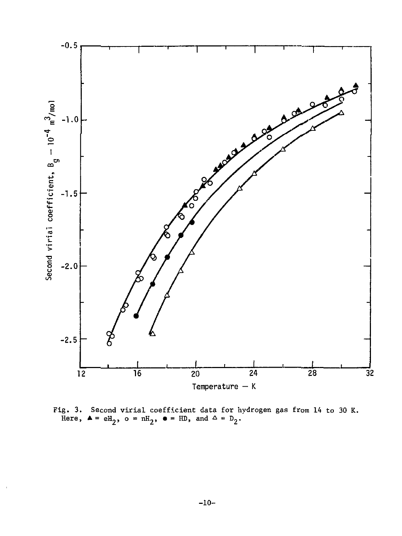

Fig. 3. Second virial coefficient data for hydrogen gas from 14 to 30 K.<br>Here,  $\blacktriangle = \mathrm{eH}_2$ ,  $\text{o} = \mathrm{nH}_2$ ,  $\blacktriangleright$  = HD, and  $\triangle = \mathrm{D}_2$ .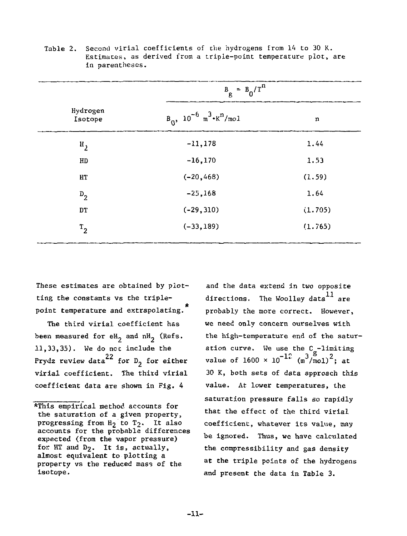|                     | $B_g = B_0/T^n$                                               |         |
|---------------------|---------------------------------------------------------------|---------|
| Hydrogen<br>Isotope | $B_0$ , 10 <sup>-6</sup> m <sup>3</sup> · K <sup>n</sup> /mo1 | n       |
| $\mathbf{H}_{2}$    | $-11,178$                                                     | 1.44    |
| HD                  | $-16, 170$                                                    | 1.53    |
| HT                  | $(-20, 468)$                                                  | (1.59)  |
| $D_2$               | $-25,168$                                                     | 1.64    |
| DT                  | $(-29, 310)$                                                  | (1.705) |
| $T_{2}$             | $(-33, 189)$                                                  | (1.765) |

Table 2. Second virial coefficients of the hydrogens from 14 to 30 K. Estimates, as derived from a triple-point temperature plot, are in parentheses.

These estimates are obtained by plotting the constants vs the tripleit. point temperature and extrapolating.

The third virial coefficient has been measured for  $eH_2$  and  $nH_2$  (Refs. 11,33,35). We do not include the Prydz review data<sup>22</sup> for D<sub>2</sub> for either virial coefficient. The third virial coefficient data are shown in Fig. 4

and the data extend in two opposite directions. The Woolley data  $^{11}$  are probably the more correct. However, we need only concern ourselves with the high-temperature end of the saturation curve. We use the C<sub>a</sub>-limiting value of 1600 × 10 <sup>- 1</sup> (mˇ/mol) ; at 30 K, both sets of data approach this value. At lower temperatures, the saturation pressure falls so rapidly that the effect of the third virial coefficient, whatever its value, may be ignored. Thus, we have calculated the compressibility and gas density at the triple points of the hydrogens and present the data in Table 3.

<sup>\*</sup>This empirical method accounts for the saturation of a given property, progressing from  $H_2$  to  $T_2$ . It also accounts for the probable differences expected (from the vapor pressure) for HT and D2. It is, actually, almost equivalent to plotting a property vs the reduced mass of the isotope.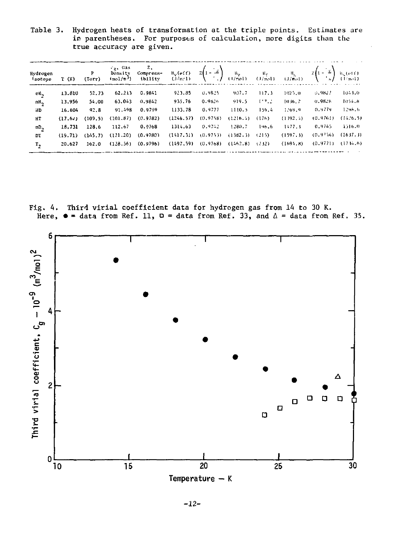Table 3. Hydrogen heats of transformation at the triple points. Estimates are in parentheses. For purposes of calculation, more digits than the true accuracy are given.

| Hydrogen<br>Isotope | T(K)    |          |          |          | - cgs Cas z,<br>P Density Compress∸ H <sub>v</sub> (eff) Z(1 - 2) H <sub>v</sub> H <sub>f</sub> H <sub>s</sub> Z(1 - 2) it (eff)<br>(Torr) (m.ol/m <sup>5</sup> ) iblity (J/mcl) (,/mcl) (J/mcl) (J/mcl) (,/mcl) (,/mcl) |          |                     |       |           |          |                       |
|---------------------|---------|----------|----------|----------|--------------------------------------------------------------------------------------------------------------------------------------------------------------------------------------------------------------------------|----------|---------------------|-------|-----------|----------|-----------------------|
| еH,                 | 13.810  | 52.73    | 62.213   | 0.9841   | 923.85                                                                                                                                                                                                                   | 0.9825   | 907.7               | 117.3 | 1025.0    | 0.9827   | 1043.0                |
| nH <sub>2</sub>     | 13,956  | 54.00    | 63.043   | 0.9842   | 935.76                                                                                                                                                                                                                   | 0.9826   | 919.5               | 1.7.2 | 1036.7    | 0.9826   | 1054, B               |
| HD                  | 16.604  | 92.8     | 91.498   | 0.9799   | 1133.78                                                                                                                                                                                                                  | 0.9777   | 1110.5              | 159.4 | 1269.9    | 0.9779   | 1296.6                |
| HT                  | (17.62) | (109.5)  | (101.87) | (0.9782) | (1246.57)                                                                                                                                                                                                                | (0.9758) | (1216.4)            | (176) | (1392, 4) | (0.9761) | (14.26.5)             |
| nD <sub>2</sub>     | 18,731  | 128.6    | 112.67   | 0.9768   | 1314.63                                                                                                                                                                                                                  | 0.9742   | 1280.7              | 196.6 | 1477.3    | 0.9745   | 1516.0                |
| DT                  | (19.71) | (145, 7) | (121.20) | (0.9780) | (1417, 31)                                                                                                                                                                                                               | (0.9753) | (1382.3)            | (215) | (1597, 3) | (0.9756) | (1637.3)              |
| т,                  | 20.627  | 162.0    | (128.56) | (0.9796) | (1497.59)                                                                                                                                                                                                                | (0,9768) | $(1462, 8)$ $(232)$ |       | (1694.8)  |          | $(0.97711)$ $(174.6)$ |

Fig. 4. Third virial coefficient data for hydrogen gas from 14 to 30 K. Here,  $\bullet$  = data from Ref. 11,  $\Box$  = data from Ref. 33, and  $\Diamond$  = data from Ref. 35.



-12-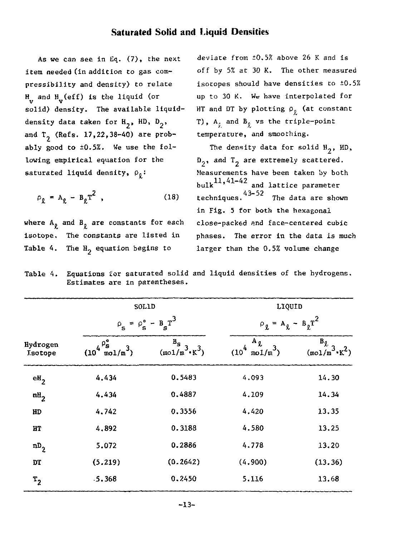### **Saturated Solid and Liquid Densities**

As we can see in Eq. (7), the next item needed (in addition to gas compressibility and density) to relate  $_{\rm v}^{\rm H}$  and  $_{\rm v}^{\rm H}$  (eff) is the liquid (or solid) density. The available liquiddensity data taken for  $H_2$ , HD,  $D_2$ , and  $T<sub>2</sub>$  (Refs. 17,22,38-40) are probably good to ±0.5%. We use the following empirical equation for the saturated liquid density,  $\rho_{\theta}$ :

$$
\rho_{\hat{\chi}} = A_{\hat{\chi}} - B_{\hat{\chi}} T^2 \quad , \tag{18}
$$

where  $A_{\theta}$  and  $B_{\theta}$  are constants for each isotope. The constants are listed in Table 4. The  $H_2$  equation begins to

deviate from ±0.5% above 26 K and is off by 5% at 30 K. The other measured isotopes should have densities *to* ±0.5% up to 30 K. We have interpolated for HT and DT by plotting  $\rho_g$  (at constant T),  $A_t$  and  $B_0$  vs the triple-point temperature, and smooching.

The density data for solid  $H_2$ , HD,  $D_2$ , and  $T_2$  are extremely scattered. Measurements have been taken by both  $_{\text{bulk}}$ 11,41-42 and lattice parameter techniques.  $43-52$  The data are shown in Fig. 5 for both the hexagonal close-packed and face-centered cubic phases. The error in the data is much larger than the 0.5% volume change

Table 4. Equations for saturated solid and liquid densities of the hydrogens. Estimates are in parentheses.

|                            | SOLID                                               |                                      | LIQUID                                                              |                                        |  |
|----------------------------|-----------------------------------------------------|--------------------------------------|---------------------------------------------------------------------|----------------------------------------|--|
|                            | $\rho_s = \rho_s^{\circ}$                           | $B_{s}r^{3}$<br>-                    | $\rho_{\ell} = A_{\ell} - B_{\ell}T^{2}$                            |                                        |  |
| Hydrogen<br><b>Lsotope</b> | $4^{\rho_s^o}$<br>$\frac{3}{\ln 0}$ $\ln^3$<br>(10) | $B_{\rm S}$<br>$(mo1/m^3 \cdot K^3)$ | $A_{\mathfrak{g}}$<br>$\int_{\text{mod }1/\text{m}}^{x}$<br>$(10^4$ | $B_{\tilde{X}}$<br>$(mol/m \cdot K^2)$ |  |
| eH <sub>2</sub>            | 4.434                                               | 0.5483                               | 4.093                                                               | 14.30                                  |  |
| nH <sub>2</sub>            | 4.434                                               | 0.4887                               | 4.109                                                               | 14.34                                  |  |
| HD                         | 4.742                                               | 0.3556                               | 4.420                                                               | 13.35                                  |  |
| нт                         | 4,892                                               | 0.3188                               | 4.580                                                               | 13.25                                  |  |
| $nD_2$                     | 5.072                                               | 0.2886                               | 4.778                                                               | 13.20                                  |  |
| DT                         | (5.219)                                             | (0.2642)                             | (4.900)                                                             | (13.36)                                |  |
| $T_{2}$                    | .5.368                                              | 0.2450                               | 5.116                                                               | 13.68                                  |  |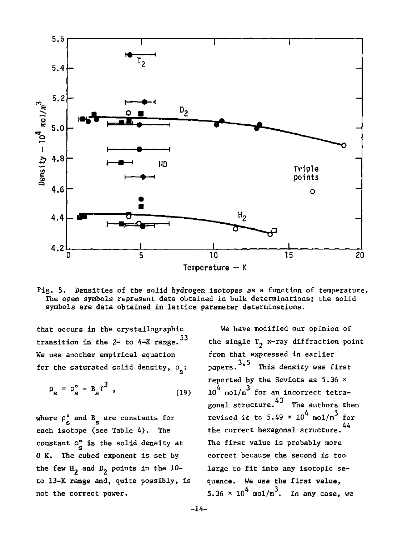

Fig. 5. Densities of the solid hydrogen isotopes as a function of temperature. The open symbols represent data obtained in bulk determinations; the solid symbols are data obtained in lattice parameter determinations.

that occurs in the crystallographic transition in the 2- to  $4-K$  range.  $53$ We use another empirical equation for the saturated solid density,  $\rho_c$ :

$$
\rho_s = \rho_s^{\circ} - B_s T^3 \t\t(19)
$$

where  $\rho_s^{\circ}$  and  $B_s$  are constants for each isotope (see Table 4). The constant  $\rho^{\circ}$  is the solid density at 0 K. The cubed exponent is set by the few  $H_2$  and  $D_2$  points in the 10to 13-K range and, quite possibly, is not the correct power.

We have modified our opinion of the single  $T_2$  x-ray diffraction point from that expressed in earlier papers.<sup>3,5</sup> This density was first reported by the Soviets as  $5.36 \times$ reported by the Soviets as 5.30  $\sim$ <br>10<sup>4</sup> mol/m<sup>3</sup> for an incorrect tetragonal structure.<sup>43</sup> The authors then revised it to 5.49  $\times$  10<sup>4</sup> mol/m<sup>3</sup> for 44 the correct hexagonal structure. The first value is probably more correct because the second is too large to fit into any isotopic sequence. We use the first value, 5.36  $\times$  10<sup>4</sup> mol/m<sup>3</sup>. In any case, we

-14-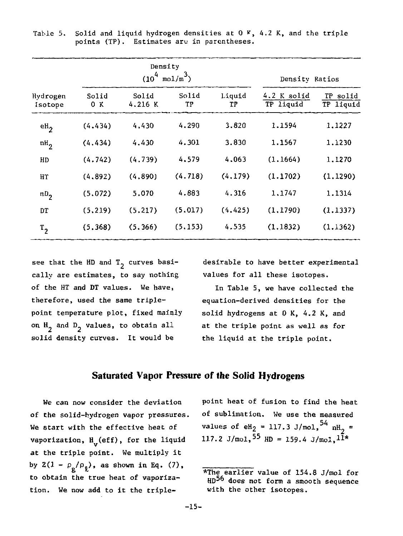|                     |              | Density          | $(10^4 \text{ mol/m}^3)$ |              | Density Ratios           |                       |
|---------------------|--------------|------------------|--------------------------|--------------|--------------------------|-----------------------|
| Hydrogen<br>Isotope | Solid<br>0 K | Solid<br>4.216 K | Solid<br>TР              | Liquid<br>TP | 4.2 K solid<br>TP liquid | TP solid<br>TP liguid |
| ek <sub>2</sub>     | (4.434)      | 4.430            | 4.290                    | 3.820        | 1.1594                   | 1.1227                |
| $nH_2$              | (4.434)      | 4.430            | 4.301                    | 3.830        | 1.1567                   | 1.1230                |
| HD                  | (4.742)      | (4.739)          | 4.579                    | 4.063        | (1.1664)                 | 1.1270                |
| HТ                  | (4, 892)     | (4, 890)         | (4.718)                  | (4.179)      | (1.1702)                 | (1.1290)              |
| $nD_{2}$            | (5.072)      | 5.070            | 4.883                    | 4.316        | 1,1747                   | 1.1314                |
| DT                  | (5, 219)     | (5.217)          | (5.017)                  | (4.425)      | (1, 1790)                | (1.1337)              |
| $T_{2}$             | (5.368)      | (5, 366)         | (5.153)                  | 4.535        | (1, 1832)                | (1.1362)              |

Table 5. Solid and liquid hydrogen densities at  $0 \times 4.2$  K, and the triple points (TP). Estimates are in parentheses.

see that the HD and  $T_2$  curves basically are estimates, to say nothing of the HT and DT values. We have, therefore, used the same triplepoint temperature plot, fixed mainly on  $H_2$  and  $D_2$  values, to obtain all solid density curves. It would be

desirable to have better experimental values for all these isotopes.

In Table 5, we have collected the equation-derived densities for the solid hydrogens at 0 K, 4.2 K, and at the triple point as well as for the liquid at the triple point.

#### **Saturated Vapor Pressure of the Solid Hydrogens**

We can now consider the deviation of the solid-hydrogen vapor pressures. We start with the effective heat of vaporization,  $H_{\alpha}$  (eff), for the liquid at the triple point. We multiply it by  $2(1 - \rho_{\rm g}/\rho_{\rm g})$ , as shown in Eq. (7), to obtain the true heat of vaporizato obtain the true heat of vaporiza-true heat of vaporiza- $\frac{1}{\sqrt{2}}$ 

point heat of fusion to find the heat of sublimation. We use the measured values of eH<sub>2</sub> = 117.3 J/mol,  $^{54}$  nH<sub>2</sub> = 117.2 J/mol,  $55$  HD = 159.4 J/mol,  $11*$ 

<sup>\*</sup>The earlier value of 154.8 J/mol for HD<sup>56</sup> does not form a smooth sequence with the other isotopes.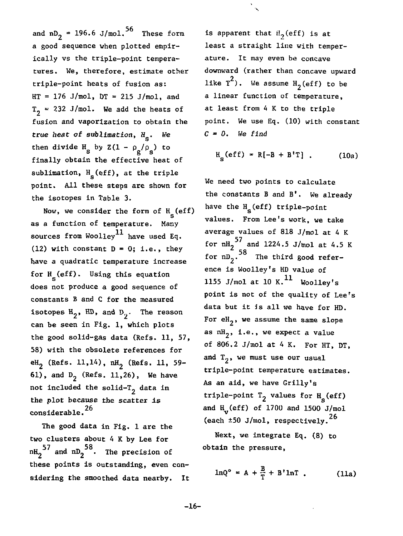and  $nD_2 = 196.6$  J/mol.<sup>56</sup> These form a good sequence when plotted empirically vs the triple-point temperatures. We, therefore, estimate other triple-point heats of fusion as:  $HT = 176$  J/mol,  $DT = 215$  J/mol, and  $T_2$  = 232 J/mol. We add the heats of fusion and vaporization to obtain the true heat of sublimation,  $H_{\rm e}$ . We then divide  $H_g$  by  $Z(1 - \rho_g/\rho_g)$  to finally obtain the effective heat of sublimation,  $H_{\rm g}$  (eff), at the triple point. All these steps are shown for the isotopes in Table 3.

Now, we consider the form of  $H_ (eff)$ as a function of temperature. Many sources from Woolley<sup>11</sup> have used Eq. (12) with constant  $D = 0$ ; i.e., they have a quadratic temperature increase for  $H_c$  (eff). Using this equation does not produce a good sequence of constants B and C for the measured isotopes  $H_2$ , HD, and  $D_2$ . The reason can be seen in Fig. 1, which plots the good solid-gas data (Refs. 11, 57, 58) with the obsolete references for eH<sub>2</sub> (Refs. 11, 14), nH<sub>2</sub> (Refs. 11, 59-61), and  $D_2$  (Refs. 11,26), We have not included the solid-T<sub>2</sub> data in the plot because the scatter is considerable.<sup>26</sup>

The good data in Fig. 1 are the considerable. clusters about 4 K by Lee for nH $_2^{57}$  and nD $_2^{58}$ . The precision of these points is outstanding, even considering the smoothed data nearby. It

is apparent that  $H_2$ (eff) is at least a straight line with temperature. It may even be concave downward (rather than concave upward like  $T^2$ ). We assume  $H_2$ (eff) to be a linear function of temperature, at least from 4 K to the triple point. We use Eq. (10) with constant  $C = 0$ . We find

$$
H_c(eff) = R[-B + B'T]
$$
 (10a)

We need two points to calculate the constants B and B'. We already have the  $H_c$  (eff) triple-point values. From Lee's work, we take average values of 818 J/mol at 4 K for  $\mathrm{nH}_{2}$  and 1224.5 J/mol at 4.5 K  $\sim$ ence is Woolley's HD value of 1155 J/mol at 10 K. $^{11}$  Woolley's point is not of the quality of Lee's data but it is all we have for HD. For  $eH_2$ , we assume the same slope as  $nH_2$ , i.e., we expect a value of 806.2 J/mol at 4 K. For HT, DT, of 806.2 J/mol at 4 K. For HT, DT, and  $\frac{1}{2}$ , we must use our usual triple-point temperature estimates. As an aid, we have Grilly's triple-point  $T_2$  values for  $H_c$  (eff) and  $H_v$  (eff) of 1700 and 1500 J/mol (each  $±50$  J/mol, respectively.<sup>26</sup>

Next, we integrate Eq. (8) to obtain the pressure,

$$
\ln Q^{\circ} = A + \frac{B}{T} + B' \ln T \tag{11a}
$$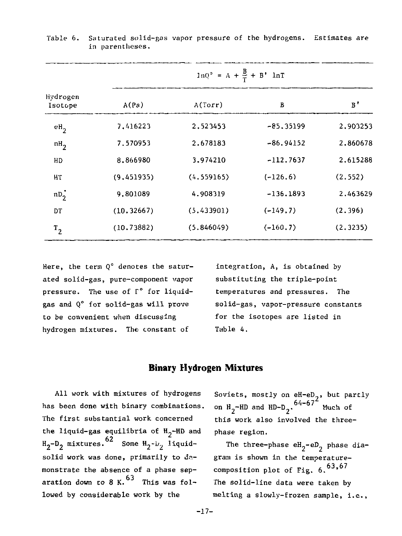|                     | $\ln Q^{\circ} = A + \frac{B}{T} + B^{\dagger} \ln T$ |            |             |              |  |  |
|---------------------|-------------------------------------------------------|------------|-------------|--------------|--|--|
| Hydrogen<br>Isotope | A(Pa)                                                 | A(Torr)    | B           | $_{\rm B}$ . |  |  |
| $eH_2$              | 7.416223                                              | 2.523453   | $-85.35199$ | 2.903253     |  |  |
| nH <sub>2</sub>     | 7.570953                                              | 2.678183   | $-86.94152$ | 2.860678     |  |  |
| HD                  | 8.866980                                              | 3.974210   | $-112.7637$ | 2.615288     |  |  |
| ΗТ                  | (9.451935)                                            | (4.559165) | $(-126.6)$  | (2.552)      |  |  |
| $nD_2$              | 9.801089                                              | 4.908319   | $-136.1893$ | 2.463629     |  |  |
| DT                  | (10.32667)                                            | (5,433901) | $(-149.7)$  | (2.396)      |  |  |
| $\mathbf{r_{2}}$    | (10.73882)                                            | (5.846049) | $(-160.7)$  | (2.3235)     |  |  |

#### Table 6. Saturated solid-gas vapor pressure of the hydrogens. Estimates are in parentheses.

Here, the term  $Q^{\circ}$  denotes the saturated solid-gas, pure-component vapor pressure. The use of T° for liquidgas and Q° for solid-gas will prove to be convenient when discussing hydrogen mixtures. The constant of

integration, A, is obtained by substituting the triple-point temperatures and pressures. The solid-gas, vapor-pressure constants for the isotopes are listed in Table 4.

#### **Binary Hydrogen Mixtures**

All work with mixtures of hydrogens has been done with binary combinations. The first substantial work concerned the liquid-gas equilibria of  $H_2$ -HD and  $H_2-D_2$  mixtures.  $62$  Some  $H_2-D_2$  liquidsolid work was done, primarily to demonstrate the absence of a phase separation down to 8 K.  $^{63}$  This was followed by considerable work by the

Soviets, mostly on eH-eD<sub>o</sub>, but partly on  $H_2$ -HD and HD-D<sub>2</sub>.<sup>94-67</sup> Much of this work also involved the threephase region.

The three-phase  $eH_2-eD_2$  phase diagram is shown in the temperaturecomposition plot of Fig.  $6.63, 67$ The solid-line data were taken by melting a slowly-frozen sample, i.e.,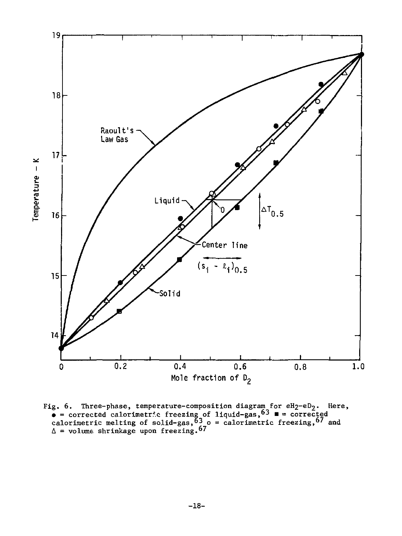

Fig. 6. Three-phase, temperature-composition diagram for  $eH_2-eD_2$ . Here,<br>  $\bullet$  = corrected calorimetric freezing of liquid-gas,<sup>63</sup>  $\bullet$  = corrected<br>
calorimetric melting of solid-gas,<sup>63</sup> o = calorimetric freezing,<sup>67</sup>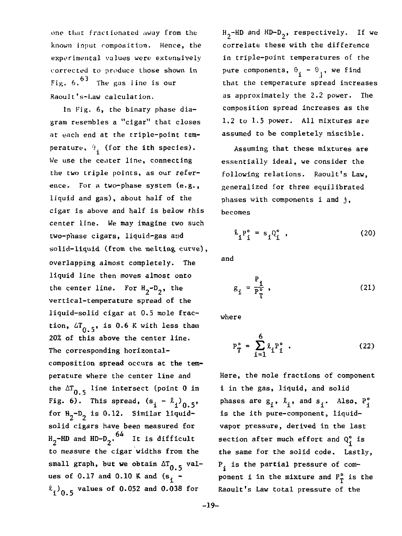one that fractionated away from the known input composition. Hence, the experimental values were extensively corrected to produce those shown in Fig.  $6.\overline{)3}$  The gas line is our Raoult's-Law calculation.

In Fig. 6, the binary phase diagram resembles a "cigar" that closes at each end at the triple-point temperature,  $\theta_i$  (for the ith species). We use the center line, connecting the two triple points, as our reference. For a two-phase system (e.g., liquid and gas), about half of the cigar is above and half is below this center line. We may imagine two such two-phase cigars, liquid-gas and solid-liquid (from the melting curve), overlapping almost completely. The liquid line then moves almost onto the center line. For  $H_2-D_2$ , the vertical-temperature spread of the liquid-solid cigar at 0.5 mole fraction,  $4T_{0.5}$ , is 0.6 K with less than 20% of this above the center line. The corresponding horizontalcomposition spread occurs at the temperature where the center line and the  $\Delta T_{0.5}$  line intersect (point 0 in Fig. 6). This spread,  $(s_i - \ell_i)_{0.5}$ for  $H_2-D_2$  is 0.12. Similar liquidsolid cigars have been measured for  ${\tt H_2-HD}$  and  ${\tt HD\text{-}D_2}$ .  $^{64}$  It is difficult to measure the cigar widths from the small graph, but we obtain  $\Delta T_{0.5}$  values of  $0.17$  and  $0.10$  K and  $(s<sub>1</sub> \binom{2}{10.5}$  values of 0.052 and 0.038 for

 $H_2$ -HD and HD-D<sub>2</sub>, respectively. If we correlate these with the difference in triple-point temperatures of the pure components,  $\theta_i - \theta_i$ , we find that the temperature spread increases as approximately the 2.2 power. The composition spread increases as the 1.2 to 1.5 power. All mixtures are assumed to be completely miscible.

Assuming that these mixtures are essentially ideal, we consider the following relations. Raoult's Law, generalized for three equilibrated phases with components i and j, becomes

$$
\begin{aligned} \n\Omega_{\underline{i}} P_{\underline{i}}^{\circ} &= s_{\underline{i}} Q_{\underline{i}}^{\circ} \quad , \n\end{aligned} \tag{20}
$$

and

$$
g_{i} = \frac{P_{i}}{P_{T}^{\circ}},
$$
 (21)

where

$$
P_T^{\circ} = \sum_{i=1}^{6} \ell_i P_i^{\circ} . \qquad (22)
$$

Here, the mole fractions of component i in the gas, liquid, and solid phases are  $s_i$ ,  $\ell_i$ , and  $s_i$ . Also,  $P_i^{\circ}$ is the ith pure-component, liquidvapor pressure, derived in the last section after much effort and *0°.* is the same for the solid code. Lastly,  $P_i$  is the partial pressure of component i in the mixture and  $P_T^o$  is the Raoult's Law total pressure of the

-19-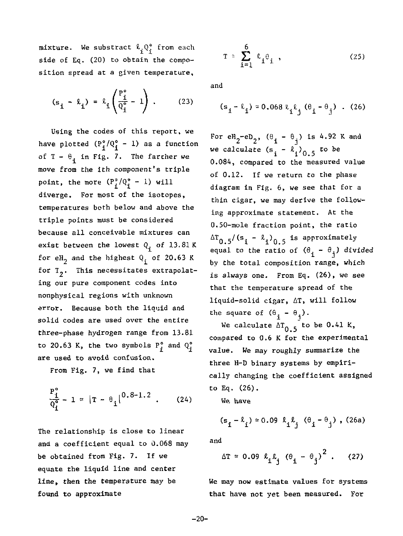$\texttt{mixture.}$  We substract  $\frac{\mathcal{R}}{1}\mathcal{Q}_1^{\vee}$  from each side of Eq. (20) to obtain the composition spread at a given temperature.

$$
(s_{\mathbf{i}} - \ell_{\mathbf{i}}) = \ell_{\mathbf{i}} \left( \frac{P_{\mathbf{i}}^{\circ}}{Q_{\mathbf{i}}^{\circ}} - 1 \right) . \tag{23}
$$

Using the codes of this report, we have plotted  $(P_1^o/Q_1^o - 1)$  as a function of  $T - \theta_1$  in Fig. 7. The farcher we move from the ith component's triple point, the more  $(P_i^o/Q_i^o - 1)$  will diverge. For most of the isotopes, temperatures both below and above the triple points must be considered because all conceivable mixtures can exist between the lowest  $Q_{\hat{\mathbf{i}}}$  of 13.81 K for eH<sub>2</sub> and the highest  $Q_f$  of 20.63 K for  $T_2$ . This necessitates extrapolating our pure component codes into nonphysical regions with unknown error. Because both the liquid and solid codes are used over the entire three-phase hydrogen range from 13.81 to 20.63 K, the two symbols  $P_i^o$  and  $Q_j^o$ are used to avoid confusion.

From Fig. 7, we find that

$$
\frac{P_1^o}{Q_1^o} - 1 \approx |T - \theta_1|^{0.8 - 1.2} . \qquad (24)
$$

The relationship is close to linear and a coefficient equal to 0.068 may be obtained from Fig. 7. If we equate the liquid line and center line, then the temperature may be found to approximate

$$
T \approx \sum_{i=1}^{6} \ell_i \theta_i, \qquad (25)
$$

and

$$
(s_i - \ell_i) \approx 0.068 \ell_i \ell_j (\theta_i - \theta_j)
$$
. (26)

For  $e^{H}e^{-eD}$ ,  $(\theta_i - \theta_j)$  is 4.92 K and we calculate  $(s_i - \ell_i)_{0.5}$  to be 0.084, compared to the measured value of 0.12. If we return to the phase diagram in Fig. 6, we see that for a thin cigar, we may derive the following approximate statement. At the 0.50-mole fraction point, the ratio  $\Delta T_{0.5}/(s_i - \ell_i)_{0.5}$  is approximately equal to the ratio of  $(\theta_1 - \theta_1)$  divided by the total composition range, which is always one. From Eq. (26), we see that the temperature spread of the liquid-solid cigar, AT, will follow the square of  $(\theta_i - \theta_i)$ .

We calculate  $\Delta T_{\alpha}$  to be 0.41 K, compared to 0.6 K for the experimental value. We may roughly summarize the three H-D binary systems by empirically changing the coefficient assigned to Eq. (26).

We. have

$$
(s_i - \ell_i) \approx 0.09 \ell_i \ell_j \left( \theta_i - \theta_j \right), (26a)
$$

and

$$
\Delta T \approx 0.09 \ \ell_{i} \ell_{j} \ (\theta_{i} - \theta_{j})^{2} \ .
$$
 (27)

We may now estimate values for systems that have not yet been measured. For

-20-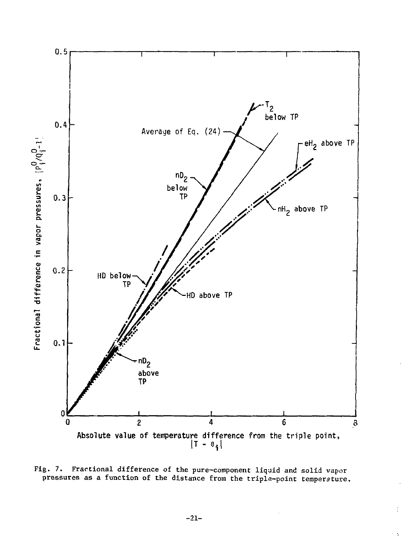

Fig. 7. Fractional difference of the pure-component liquid and solid vapor pressures as a function of the distance from the tripla-point temperature.

Ì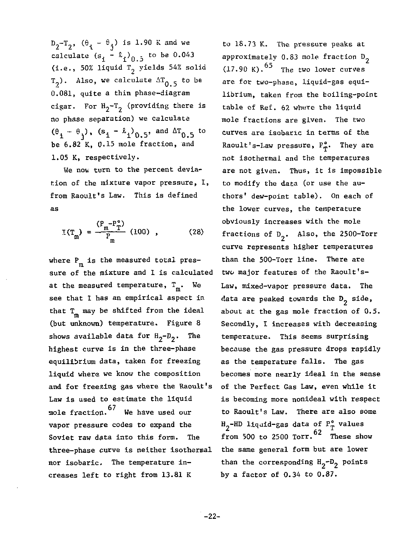$D_2-T_2$ ,  $(\theta_i - \theta_j)$  is 1.90 K and we calculate  $(s_i - \ell_i)$ <sub>0.5</sub> to be 0.043 (i.e., 50% liquid  $T<sub>2</sub>$  yields 54% solid  $T_2$ ). Also, we calculate  $\Delta T_{0.5}$  to be 0.081, quite a thin phase-diagram cigar. For  $H_2-T_2$  (providing there is no phase separation) we calculate  $(\theta_1 - \theta_1)$ ,  $(s_1 - \ell_1)_{0,5}$ , and  $\Delta T_{0,5}$  to be 6.82 K, 0.15 mole fraction, and 1.05 K, respectively.

We now turn to the percent deviation of the mixture vapor pressure, I, from Raoult's Law. This is defined as

$$
I(T_m) = \frac{(P_m - P_T^{\circ})}{P_m} (100) , \qquad (28)
$$

where  $\mathtt{P}_{\mathfrak{m}}$  is the measured total pressure of the mixture and I is calculated at the measured temperature,  $T_m$ . We see that I has an empirical aspect in that T<sub>n</sub> may be shifted from the ideal (but unknown) temperature. Figure 8 shows available data for  $H_2-D_2$ . The highest curve is in the three-phase equilibrium data, taken for freezing liquid where we know the composition and for freezing gas where the Raoult's Law is used to estimate the liquid mole fraction.  $67$  We have used our vapor pressure codes to expand the Soviet raw data into this form. The three-phase curve is neither isothermal nor isobaric. The temperature increases left to right from 13.81 K

to 18.73 K. The pressure peaks at approximately  $0.83$  mole fraction  $D_2$  $(17.90 \text{ K})$ .  $^{65}$  The two lower curves are for two-phase, liquid-gas equilibrium, taken from the boiling-point table of Ref. 62 where the liquid mole fractions are given. The two curves are isobaric in terms of the Raoult's-Law pressure,  $F_{\pi}^{\circ}$ . They are not isothermal and the temperatures are not given. Thus, it is impossible to modify the data (or use the authors' dew-point table). On each of the lower curves, the temperature obviously increases with the mole fractions of  $D_2$ . Also, the 2500-Torr curve represents higher temperatures than the 500-Torr line. There are two major features of the Raoult's-Law, mixed-vapor pressure data. The data are peaked towards the  $D_2$  side, about at the gas mole fraction of 0.5. Secondly, I increases with decreasing temperature. This seems surprising because the gas pressure drops rapidly as the temperature falls. The gas becomes more nearly ideal in the sense of the Perfect Gas Law, even while it is becoming more nonideal with respect to Raoult's Law. There are also some H -HD liquid-gas data of P° values 62. from 500 to 2500 Torr. These show the same general form but are lower than the corresponding  $H_2-D_2$  points by a factor of 0.34 to 0.87.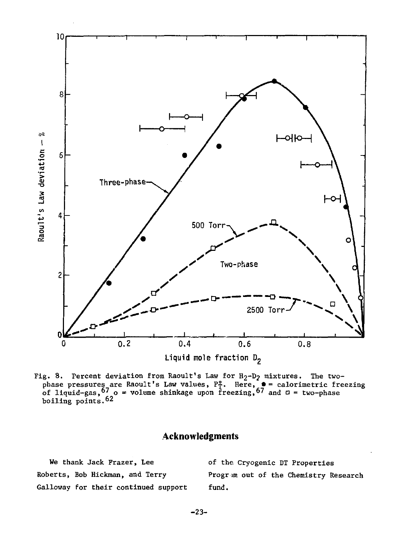

Fig. 8. Percent deviation from Raoult's Law for  $H_2-D_2$  mixtures. The two-<br>phase pressures are Raoult's Law values,  $P_T^2$ . Here,  $\bullet$  = calorimetric freezing<br>of liquid-gas,  $67 \circ \bullet$  volume shinkage upon freezing,  $67$  a

### **Acknowledgments**

| We thank Jack Frazer, Lee            | of the Cryogenic DT Properties        |
|--------------------------------------|---------------------------------------|
| Roberts, Bob Hickman, and Terry      | Progrim out of the Chemistry Research |
| Galloway for their continued support | fund.                                 |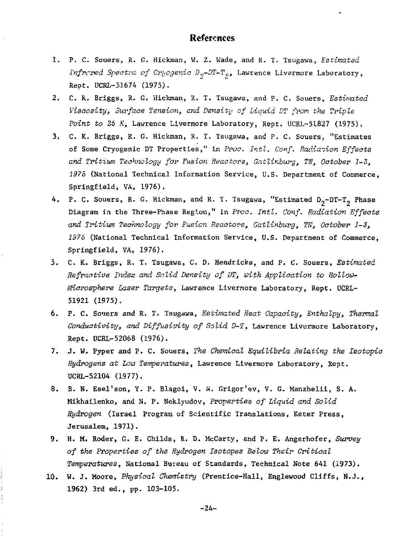#### References

- 1. P. C. Souers, R. G. Hickman, W. Z. Wade, and R. T. Tsugawa, *Estimated Infrared Spectra of Cryogenic D<sub>2</sub>-DT-T<sub>2</sub>*, Lawrence Livermore Laboratory, Rept. UCRL-51674 (1975).
- 2. C. K. Briggs, R. G. Hickman, R. T. Tsugawa, and P. C. Souers, *Estimated Viscosity, Surface Tension, and Density of Liquid DT from the Triple Point to* 25 *K,* Lawrence Livermore Laboratory, Rept. UCRL-51827 (1975).
- 3. C. K. Briggs, R. G. Hickman, R. T. Tsugawa, and P. C. Souers, "Estimates of Some Cryogenic DT Properties," in *Proc. Intl. Conf. Radiation Effects and Tritium Technology for Fusion Reactors, Cailinburg, Til, October 1-3, 1975* (National Technical Information Service, U.S. Department of Commerce, Springfield, VA, 1976).
- 4. P. C. Souers, R. G. Hickman, and R. T. Tsugawa, "Estimated  $D_2-DT-T_2$  Phase Diagram in the Three-Phase Region," in *Proa. Intl. Conf. Radiation Effects and Tritium Technology for Fusion Reactor's, Gatlinburg, Tli, October 1-3, 1975* (National Technical Information Service, U.S. Department of Commerce, Springfield, VA, 1976).
- 5. C. K. Briggs, R. T. Tsugawa, C. D. Hendricks, and P. C. Souers, *Estimated Refractive Index and Solid Density of DT, with Application to Hollow-Miarospkere Laser Targets,* Lawrence Livernore Laboratory, Rept. UCRL-51921 (1975).
- 6. P. C. Souers and R. T. Tsugawa, *Estimated Heat Capacity, Enthalpy, Thermal Conductivity, and Diffusivity of Solid D-T,* Lawrence Livermore Laboratory, Rept. UCRL-52068 (1976).
- 7. J. W. Pyper and P. C. Souers, *The Chemical Equilibria Relating the Isotopic Hydrogens at Low Temperatures,* Lawrence Livermore Laboratory, Rept. UCRL-52104 (1977).
- 8. B. N. Esel'son, Y. P. Blagoi, V. N. Grigor'ev, V. G. Manzhelii, S. A. Mikhailenko, and N. P. Neklyudov, *Properties of Liquid and Solid Hydrogen* (Israel Program of Scientific Translations, Keter Press, Jerusalem, 1971).
- 9. H. M. Roder, G. E. Childs, R. D. HcCarty, and P. E. Angerhofer, *Survey of the Properties of the Hydrogen Isotopes Below Their Critical Temperatures,* National Bmeau of Standards, Technical Note 641 (1973).
- 10. W. J. Moore, *Physical Chemistry* (Prentice-Hall, Englewood Cliffs, N.J., 1962) 3rd ed., pp. 103-105.

-24-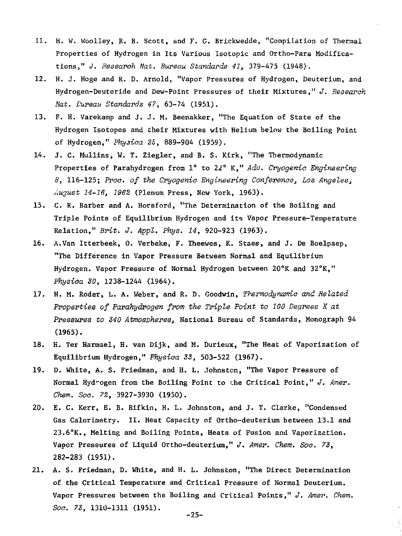- 11. H. W. Woolley, R. B. Scott, and F. G. Brickwedde, "Compilation of Thermal Properties of Hydrogen in Its Various Isotopic and Ortho-Para Modifications," *J. Research Nat. Bureau Standards 41,* 379-475 (1948).
- 12. H. J. Hoge and R. D. Arnold, "Vapor Pressures of Hydrogen, Deuterium, and Hydrogen-Deuteride and Dew-Point Pressures of their Mixtures," *J. Research Nat. Bureau Standards 47,* 63-74 (195.1).
- 13. F. H. Varekamp and J. J. M. Beenakker, "The Equation of State of the Hydrogen Isotopes and their Mixtures with Helium below the Boiling Point of Hydrogen," *Phyaiaa 25,* 889-904 (1959).
- 14. J. C. Mullins, W. T. Ziegler, and B. S. Kirk, "The Thermodynamic Properties of Parahydrogen from 1° to 22° K," *Adv. Cryogenic Engineering 8,* 116-125; *Proa, of the Cryogenic Engineering Conference, Los Angeles, ,\ugust 14-16, 1962* (Plenum Press, New York, 1963).
- 15. C. R. Barber and A. Horsford, "The Determination of the Boiling and Triple Points of Equilibrium Hydrogen and its Vapor Pressure-Temperature Relation," *Brit. J. Appl. Phys. 14,* 920-923 (1963).
- 16. A.Van Itterbeek, 0. Verbeke, F. Theewes, K. Staes, and J. De Boelpaep, "The Difference in Vapor Pressure Between Normal and Equilibrium Hydrogen. Vapor Pressure of Normal Hydrogen between 20°K and 32°K," *Physica 30,* 1238-1244 (1964).
- 17. H. M. Roder, L. A. Weber, and R. D. Goodwin, *Thermodynamic and Related Properties of Parahydrogen from the Triple Point to 100 Degrees X at Pressures to S40 Atmospheres,* National Bureau of Standards, Monograph 94 (1965).
- 18. H. Ter Harmsel, H. van Dijk, and M. Durieux, "The Heat of Vaporization of Equilibrium Hydrogen," *Physica 33,* 503-522 (1967).
- 19. D. White, A. S. Friedman, and H. L. Johnston, "The Vapor Pressure of Normal Hyd-ogen from the Boiling Point to the Critical Point," *J. Amer. Chem. Soc. 72,* **3927-3930 (1950).**
- 20. E. C. Kerr, E. B. Rifkin, H. L. Johnston, and J. T. Clarke, "Condensed Gas Calorimetry. II. Heat Capacity of Ortho-deuterium between 13.1 and 23.6°K., Melting and Boiling Points, Heats of Fusion and Vaporization. Vapor Pressures of Liquid Ortho-deuterium," *J. Amer. Chem. Soc. 73,*  282-283 (1951).
- 21. A. S. Friedman, D. White, and H. L. Johnston, "The Direct Determination of the Critical Temperature and Critical Pressure of Normal Deuterium. Vapor Pressures between the Boiling and Critical Points," *J. Amer. Chem. Soc. 73,* 1310-1311 (1951). -25-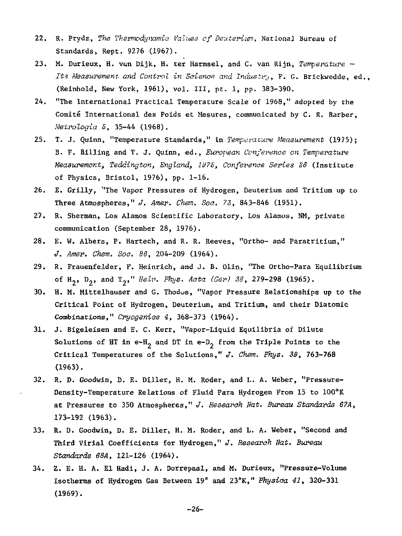- 22. R. Prydz, *The Thermodynamic Values cf Deuterium,* National Bureau of Standards, Rept. 9276 (1967).
- 23. M. Durieux, H. van Dijk, H. ter Harmsel, and C. van Rijn, *Temperature Its Measurement and Control in Science and Industry,* F. G. Brickwedde, ed., (Reinhold, New York, 1961), vol. Ill, pt. 1, pp. 383-390.
- 24. "The International Practical Temperature Scale of 1968," adopted by the Comité International des Poids et Mesures, communicated by C. R. Barber, *Metrologia S,* 35-44 (1968).
- 25. T. J. Quinn, "Temperature Standards," in *Temperature Measurement* (1975); B. F. Billing and T. J. Quinn, ed., *European Conference on Temperature Measurement;, Teddington, England, 1SI75, Conference Series 26* (Institute of Physics, Bristol, 1976), pp. 1-16.
- 26. E. Grilly, "The Vapor Pressures of Hydrogen, Deuterium and Tritium up to Three Atmospheres," *J. Amer. Chem. Soc. 73,* 843-846 (1951).
- 27. R, Sherman, Los Alamos Scientific Laboratory, Los Alamos, NM, private communication (September 28, 1976).
- 28. E. W. Albers, P. Hartech, and R. R. Reeves, "Ortho- and Paratritium," *J. Amer. Chem. Soc. 86,* 204-209 (1964).
- 29. R. Frauenfelder, F. Heinrich, and J. B. Olin, "The Ortho-Para Equilibrium of H<sub>2</sub>, D<sub>2</sub>, and T<sub>2</sub>," Helv. Phys. Acta (Ger) 38, 279-298 (1965).
- 30. H. M. Mittelhauser and G. Thodos, "Vapor Pressure Relationships up to the Critical Point of Hydrogen, Deuterium, and Tritium, and their Diatomic Combinations," *Cryogenics 4,* 368-373 (1964).
- 31. J. Bigeleisen and E. C. Kerr, "Vapor-Liquid Equilibria of Dilute Solutions of HT in e-H<sub>2</sub> and DT in e-D<sub>2</sub> from the Triple Points to the Critical Temperatures of the Solutions," *J. Chem. Phys. 38,* 763-768 (1963).
- 32. R. D. Goodwin, D. E. Diller, H. M. Roder, and L. A. Weber, "Pressure-Density-Temperature Relations of Fluid Para Hydrogen From 15 to 100°K at Pressures to 350 Atmospheres," *J. Research Nat. Bureau Standards 67A,*  173-192 (1963).
- 33. R. D. Goodwin, D. E. Diller, H. M. Roder, and L. A. Weber, "Second and Third Virial Coefficients for Hydrogen," *3. Research Hat. Bureau Standards 68A,* 121-126 (1964).
- 34. Z. E. H. A. El Hadi, J. A. Dorrepaal, and M. Durieux, "Pressure-Volume Isotherms of Hydrogen Gas Between 19° and 23"K," *Physica 41,* 320-331 (1969).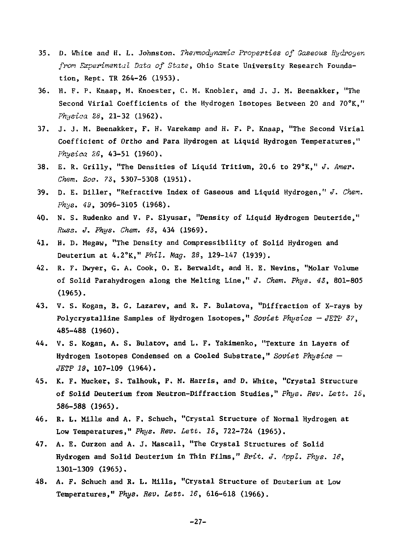- 35. D. White and H. L. Johnston. *Thermodynamic Properties of Gaseous Hydrogen from Experimental Data of State,* Ohio State University Research Foundation, Rept. TR 264-26 (1953).
- 36. H. F. P. Knaap, M. Knoester, C. M. Knobler, and J. J. M. Beenakker, "The Second Virial Coefficients of the Hydrogen Isotopes Between 20 and 70°K," *Physiaa 28,* 21-32 (1962).
- 37. J. J. M. Beenakker, F. H. Varekamp and H. F. P. Knaap, "The Second Virial Coefficient of Ortho and Para Hydrogen at Liquid Hydrogen Temperatures," *Physica 26,* 43-51 (1960).
- 38. E. R. Grilly, "The Densities of Liquid Tritium, 20.6 to 29°K," *J. Amer. Chem. Soo. 73,* **5307-5308 (1951).**
- 39. D. E. Diller, "Refractive Index of Gaseous and Liquid Hydrogen," *J. Chem. Phys. 49,* 3096-3105 (1968).
- 40. N. S. Rudenko and V. P. Slyusar, "Density of Liquid Hydrogen Deuteride," *Russ. J. Phys. Chem. 43,* **434 (1969).**
- 41. H. D. Megaw, "The Density and Compressibility of Solid Hydrogen and Deuterium at 4.2°K," *Phil. Mag. 28,* 129-147 (1939).
- 42. R. F. Dwyer, G. A. Cook, 0. E. Berwaldt, and H. E. Nevins, "Molar Volume of Solid Parahydrogen along the Melting Line," *J. Chem. Phys. 43,* 801-805 (1965).
- 43. V. S. Kogan, B. G. Lazarev, and R. F. Bulatova, "Diffraction of X-rays by Polycrystalline Samples of Hydrogen Isotopes," *Soviet Physios — JETP 37,*  485-488 (1960).
- 44. V. S. Kogan, A. S. Bulatov, and L. F. Yakimenko, "Texture in Layers of Hydrogen Isotopes Condensed on a Cooled Substrate," *Soviet Physios — JETP 19,* 107-109 (1964).
- 45. K. F. Mucker, S. Talhouk, P. M. Harris, and D. White, "Crystal Structure of Solid Deuterium from Neutron-Diffraction Studies," *Phys. Rev. Lett. 16,*  586-588 (1965).
- 46. R. L. Mills and A. F. Schuch, "Crystal Structure of Normal Hydrogen at Low Temperatures," *Phys. Rev. Lett. 15,* 722-724 (1965).
- 47. A. E. Curzon and A. J. Mascall, "The Crystal Structures of Solid Hydrogen and Solid Deuterium in Thin Films," *Brit. J. Appl. Phys. 16,*  1301-1309 (1965).
- 48. A. F. Schuch and R. L. Mills, "Crystal Structure of Deuterium at Low **Temperatures,"** *Phys. Rev. Lett. 16,* **616-618 (1966).**

 $-27-$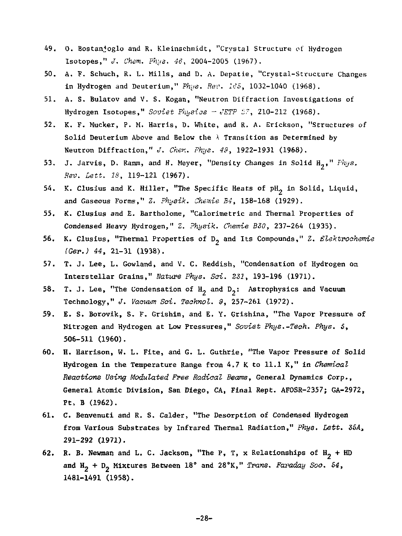- 49. 0. Bostanjoglo and R. Kleinschmidt, "Crystal Structure of Hydrogen Isotopes," *J. Chem. Phys. 46,* 2004-2005 (1967).
- 50. A. F. Schuch, R. L. Mills, and D. A. Depatie, "Crystal-Structure Changes in Hydrogen and Deuterium," *Phija. Rev. 165,* 1032-1040 (1968).
- 51. A. S. Bulatov and V. S. Kogan, "Neutron Diffraction Investigations of Hydrogen Isotopes," Soviet Physics - JETP 37, 210-212 (1968).
- 52. K. F. Mucker, P. M. Harris, D. White, and R. A. Erickson, "Structures of Solid Deuterium Above and Below the *\* Transition as Determined by Neutron Diffraction," *J. Chen. Fhys. 49,* 1922-1931 (1968).
- 53. J. Jarvis, D. Ramm, and H. Meyer, "Density Changes in Solid H\_," *T'hys. Rev. Lett. IS,* 119-121 (1967).
- 54. K. Clusius and K. Hiller, "The Specific Heats of pH, in Solid, Liquid, and Gaseous Forms," *Z. Physik. Chemie B4,* 158-168 (1929).
- 55. K. Clusius and E. Bartholome, "Calorimetric and Thermal Properties of Condensed Heavy Hydrogen," Z. *Physik. Chemie BS0,* 237-264 (1935).
- 56. K. Clusius, "Thermal Properties of D, and Its Compounds," Z. *Slektroo'nemie (Ger.) 44,* 21-31 (.1938).
- 57. T. J. Lee, L. Gowland, and V. C. Reddish, "Condensation of Hydrogen on Interstellar Grains," *Nature Phys. Sai. 231,* 193-196 (1971).
- 58. T. J. Lee, "The Condensation of  $H_2$  and  $D_2$ : Astrophysics and Vacuum Technology," *J. Vacuum Soi. Technol. 9,* 257-261 (1972).
- 59. E. S. Borovik, S. F. Grlshin, and E. Y. Grishina, "The Vapor Pressure of Nitrogen and Hydrogen at Low Pressures," *Soviet Phys.-Tech. Phys. 5,*  506-511 (1960).
- 60. H. Harrison, W. L. Fite, and G. L. Guthrie, "The Vapor Pressure of Solid Hydrogen in the Temperature Range from 4.7 K to 11.1 K," in *Chemical Reactions Using Modulated Free Radical Beams,* General Dynamics Corp., General Atomic Division, San Diego, CA, Final Rept. AFOSR-2357; GA-2972, Pt. B (1962).
- 61. C. Benvenuti and R. S. Calder, "The Desorption of Condensed Hydrogen from Various Substrates by Infrared Thermal Radiation," *Phys. Lett. 55A<sup>a</sup>* 291-292 (1971).
- 62. R. B. Newman and L. C. Jackson, "The P, T, x Relationships of  $H_2$  + HD and  $H_2 + D_2$  Mixtures Between 18° and 28°K," Trans. Faraday Soc. 54, 1481-1491 (1958).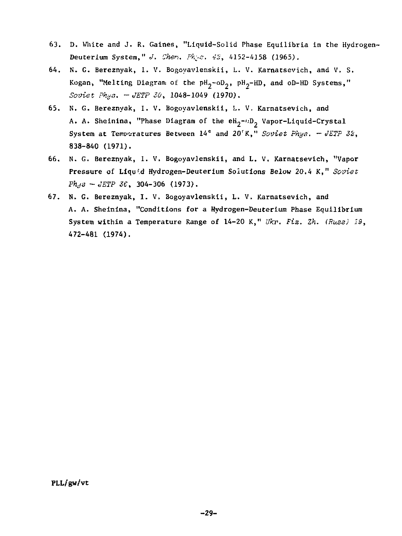- 63. D. White and J. R. Gaines, "Liquid-Solid Phase Equilibria in the Hydrogen-Deuterium System." *J. Chen. Pk.s. 42*, 4152-4158 (1965).
- 64. N. G. Bereznyak, 1. V. Bogoyavlenskii, L. V. Karnatsevich, and V. S. Kogan, "Melting Diagram of the  $pH_2$ -oD<sub>2</sub>,  $pH_2-HD$ , and oD-HD Systems," *Soviet Phys. -JETP SO,* 1048-1049 (1970).
- 65. N. G. Bereznyak, I. V. Bogoyavlenskii, L. V. Karnatsevich, and A. A. Sheinina, "Phase Diagram of the eH<sub>2</sub>-"D<sub>2</sub> Vapor-Liquid-Crystal System at Temperatures Between 14<sup>°</sup> and 20<sup>°</sup>K," Soviet Phys. - JETP 32, 838-840 (1971).
- 66. N. G. Bereznyak, I. V. Bogoyavlenskii, and L. V. Karnatsevich, "Vapor Pressure of Liqu'.d Hydrogen-Deuterium Solutions Below 20.4 K," *Soviet Phys -JETP ZC,* 304-306 (1973).
- 67. N. G. Bereznyak, I. V, Bogoyavlenskii, L. V. Karnatsevich, and A. A. Sheinina, "Conditions for a Hydrogen-Deuterium Phase Equilibrium System within a Temperature Range of 14-20 K," Ukr. Fiz. Zh. (Russ) 19, 472-481 (1974).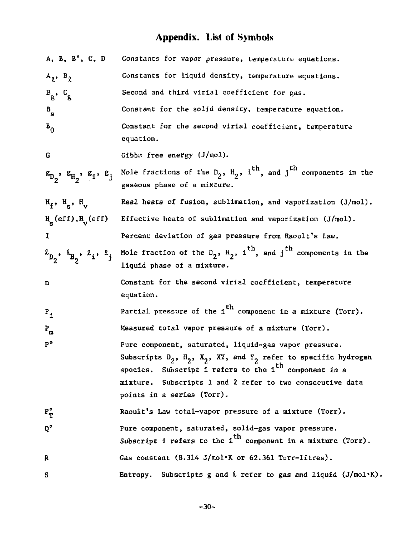# **Appendix. List of Symbols**

| A, B, B', C, D                                                             | Constants for vapor pressure, temperature equations.                                                                             |
|----------------------------------------------------------------------------|----------------------------------------------------------------------------------------------------------------------------------|
| $A_{\rho}$ , $B_{\rho}$                                                    | Constants for liquid density, temperature equations.                                                                             |
| $B_g$ , $C_g$                                                              | Second and third virial coefficient for gas.                                                                                     |
| $B_{\rm g}$                                                                | Constant for the solid density, temperature equation.                                                                            |
| $B_0$                                                                      | Constant for the second virial coefficient, temperature<br>equation.                                                             |
| G                                                                          | $Gibb$ : free energy $(J/mol)$ .                                                                                                 |
| $s_{D_2}$ , $s_{H_2}$ , $s_1$ , $s_j$                                      | Mole fractions of the $D_2$ , $H_2$ , i <sup>th</sup> , and j <sup>th</sup> components in the<br>gaseous phase of a mixture.     |
| $H_f$ , $H_c$ , $H_u$                                                      | Real heats of fusion, sublimation, and vaporization $(J/mol)$ .                                                                  |
| $\mathbf{H}_{\mathbf{q}}(\text{eff}), \mathbf{H}_{\mathbf{q}}(\text{eff})$ | Effective heats of sublimation and vaporization (J/mol).                                                                         |
| 1                                                                          | Percent deviation of gas pressure from Raoult's Law.                                                                             |
| $\ell_{D_2}$ , $\ell_{H_2}$ , $\ell_i$ , $\ell_j$                          | Mole fraction of the $D_2$ , $H_2$ , i <sup>th</sup> , and j <sup>th</sup> components in the<br>liquid phase of a mixture.       |
| n                                                                          | Constant for the second virial coefficient, temperature                                                                          |
|                                                                            | equation.                                                                                                                        |
| $P_{1}$                                                                    | Partial pressure of the $i^{th}$ component in a mixture (Torr).                                                                  |
| $P_{m}$                                                                    | Measured total vapor pressure of a mixture (Torr).                                                                               |
| P°                                                                         | Pure component, saturated, liquid-gas vapor pressure.                                                                            |
|                                                                            | Subscripts $D_2$ , $H_2$ , $X_2$ , XY, and $Y_2$ refer to specific hydrogen                                                      |
|                                                                            | species. Subscript i refers to the i <sup>th</sup> component in a                                                                |
|                                                                            | mixture. Subscripts 1 and 2 refer to two consecutive data                                                                        |
|                                                                            | points in a series (Torr).                                                                                                       |
| $P_T^{\circ}$                                                              | Raoult's Law total-vapor pressure of a mixture (Torr).                                                                           |
| 0°                                                                         | Pure component, saturated, solid-gas vapor pressure.<br>Subscript i refers to the i <sup>th</sup> component in a mixture (Torr). |
| R                                                                          | Gas constant $(8.314 \text{ J/mol} \cdot \text{K} \text{ or } 62.361 \text{ Torr-litres}).$                                      |
| s                                                                          | Subscripts g and $\ell$ refer to gas and liquid (J/mol.K).<br>Entropy.                                                           |

-30-